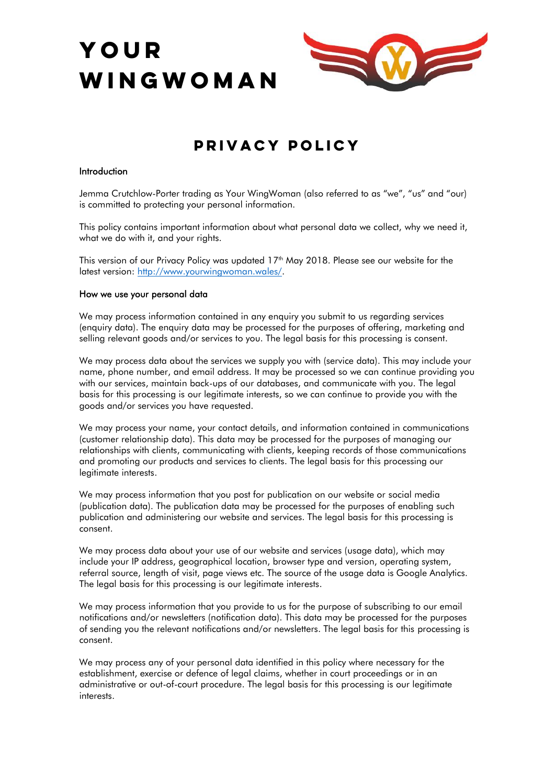# **YOUR WINGWOMAn**



## **Privacy Policy**

#### **Introduction**

Jemma Crutchlow-Porter trading as Your WingWoman (also referred to as "we", "us" and "our) is committed to protecting your personal information.

This policy contains important information about what personal data we collect, why we need it, what we do with it, and your rights.

This version of our Privacy Policy was updated 17<sup>th</sup> May 2018. Please see our website for the latest version: http://www.yourwingwoman.wales/.

#### **How we use your personal data**

We may process information contained in any enquiry you submit to us regarding services (enquiry data). The enquiry data may be processed for the purposes of offering, marketing and selling relevant goods and/or services to you. The legal basis for this processing is consent.

We may process data about the services we supply you with (service data). This may include your name, phone number, and email address. It may be processed so we can continue providing you with our services, maintain back-ups of our databases, and communicate with you. The legal basis for this processing is our legitimate interests, so we can continue to provide you with the goods and/or services you have requested.

We may process your name, your contact details, and information contained in communications (customer relationship data). This data may be processed for the purposes of managing our relationships with clients, communicating with clients, keeping records of those communications and promoting our products and services to clients. The legal basis for this processing our legitimate interests.

We may process information that you post for publication on our website or social media (publication data). The publication data may be processed for the purposes of enabling such publication and administering our website and services. The legal basis for this processing is consent.

We may process data about your use of our website and services (usage data), which may include your IP address, geographical location, browser type and version, operating system, referral source, length of visit, page views etc. The source of the usage data is Google Analytics. The legal basis for this processing is our legitimate interests.

We may process information that you provide to us for the purpose of subscribing to our email notifications and/or newsletters (notification data). This data may be processed for the purposes of sending you the relevant notifications and/or newsletters. The legal basis for this processing is consent.

We may process any of your personal data identified in this policy where necessary for the establishment, exercise or defence of legal claims, whether in court proceedings or in an administrative or out-of-court procedure. The legal basis for this processing is our legitimate interests.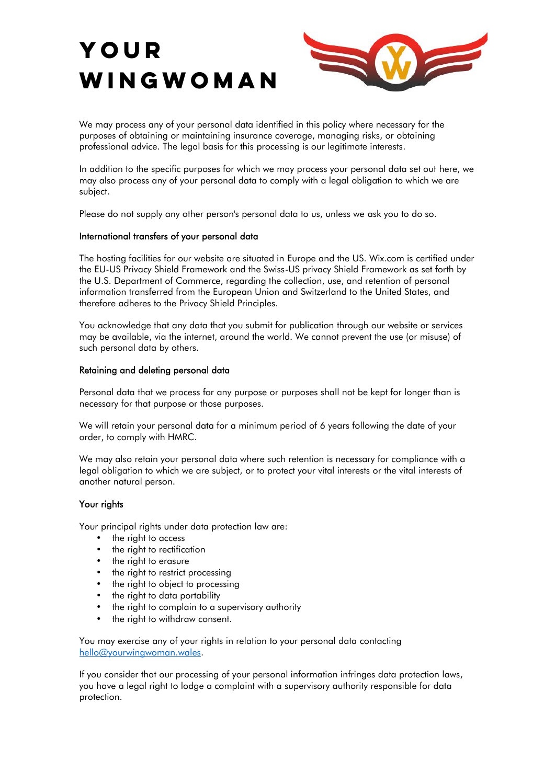# **YOUR WINGWOMAn**



We may process any of your personal data identified in this policy where necessary for the purposes of obtaining or maintaining insurance coverage, managing risks, or obtaining professional advice. The legal basis for this processing is our legitimate interests.

In addition to the specific purposes for which we may process your personal data set out here, we may also process any of your personal data to comply with a legal obligation to which we are subject.

Please do not supply any other person's personal data to us, unless we ask you to do so.

#### **International transfers of your personal data**

The hosting facilities for our website are situated in Europe and the US. Wix.com is certified under the EU-US Privacy Shield Framework and the Swiss-US privacy Shield Framework as set forth by the U.S. Department of Commerce, regarding the collection, use, and retention of personal information transferred from the European Union and Switzerland to the United States, and therefore adheres to the Privacy Shield Principles.

You acknowledge that any data that you submit for publication through our website or services may be available, via the internet, around the world. We cannot prevent the use (or misuse) of such personal data by others.

#### **Retaining and deleting personal data**

Personal data that we process for any purpose or purposes shall not be kept for longer than is necessary for that purpose or those purposes.

We will retain your personal data for a minimum period of 6 years following the date of your order, to comply with HMRC.

We may also retain your personal data where such retention is necessary for compliance with a legal obligation to which we are subject, or to protect your vital interests or the vital interests of another natural person.

### **Your rights**

Your principal rights under data protection law are:

- the right to access
- the right to rectification
- the right to erasure
- the right to restrict processing
- the right to object to processing
- the right to data portability
- the right to complain to a supervisory authority
- the right to withdraw consent.

You may exercise any of your rights in relation to your personal data contacting hello@yourwingwoman.wales.

If you consider that our processing of your personal information infringes data protection laws, you have a legal right to lodge a complaint with a supervisory authority responsible for data protection.